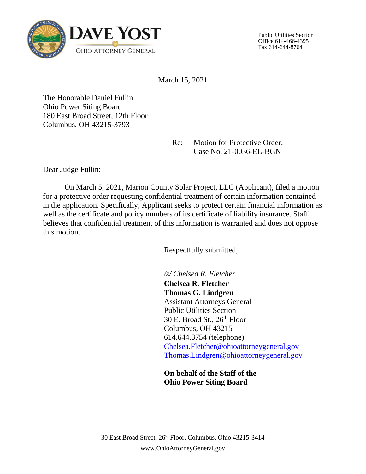

Public Utilities Section Office 614-466-4395 Fax 614-644-8764

March 15, 2021

The Honorable Daniel Fullin Ohio Power Siting Board 180 East Broad Street, 12th Floor Columbus, OH 43215-3793

> Re: Motion for Protective Order, Case No. 21-0036-EL-BGN

Dear Judge Fullin:

On March 5, 2021, Marion County Solar Project, LLC (Applicant), filed a motion for a protective order requesting confidential treatment of certain information contained in the application. Specifically, Applicant seeks to protect certain financial information as well as the certificate and policy numbers of its certificate of liability insurance. Staff believes that confidential treatment of this information is warranted and does not oppose this motion.

Respectfully submitted,

*/s/ Chelsea R. Fletcher*

**Chelsea R. Fletcher Thomas G. Lindgren** Assistant Attorneys General Public Utilities Section 30 E. Broad St., 26<sup>th</sup> Floor Columbus, OH 43215 614.644.8754 (telephone) [Chelsea.Fletcher@ohioattorneygeneral.gov](mailto:Chelsea.Fletcher@ohioattorneygeneral.gov) [Thomas.Lindgren@ohioattorneygeneral.gov](mailto:Thomas.Lindgren@ohioattorneygeneral.gov)

**On behalf of the Staff of the Ohio Power Siting Board**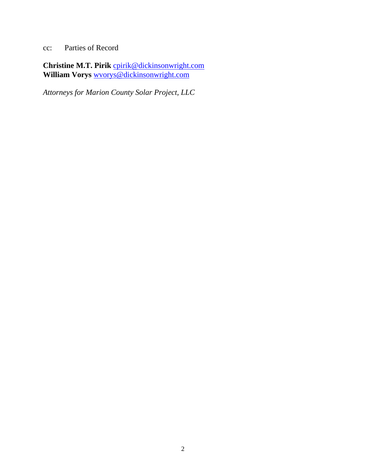cc: Parties of Record

Christine M.T. Pirik [cpirik@dickinsonwright.com](mailto:cpirik@dickinsonwright.com) **William Vorys** [wvorys@dickinsonwright.com](mailto:wvorys@dickinsonwright.com)

*Attorneys for Marion County Solar Project, LLC*